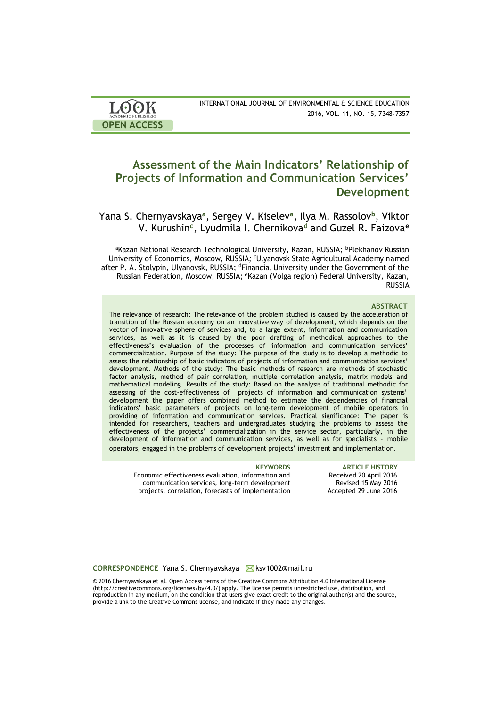| LOOK                       | INTERNATIONAL JOURNAL OF ENVIRONMENTAL & SCIENCE EDUCATION |
|----------------------------|------------------------------------------------------------|
| <b>ACADEMIC PUBLISHERS</b> | 2016, VOL. 11, NO. 15, 7348-7357                           |
| <b>OPEN ACCESS</b>         |                                                            |

# **Assessment of the Main Indicators' Relationship of Projects of Information and Communication Services' Development**

Yana S. Chernyavskaya**<sup>a</sup>** , Sergey V. Kiselev**<sup>a</sup>** , Ilya M. Rassolov**<sup>b</sup>** , Viktor V. Kurushin**<sup>c</sup>** , Lyudmila I. Chernikova**<sup>d</sup>** and Guzel R. Faizova**<sup>e</sup>**

aKazan National Research Technological University, Kazan, RUSSIA; <sup>b</sup>Plekhanov Russian University of Economics, Moscow, RUSSIA*; <sup>c</sup>*Ulyanovsk State Agricultural Academy named after P. A. Stolypin, Ulyanovsk, RUSSIA; <sup>d</sup>Financial University under the Government of the Russian Federation, Moscow, RUSSIA; <sup>e</sup>Kazan (Volga region) Federal University*,* Kazan, RUSSIA

#### **ABSTRACT**

The relevance of research: The relevance of the problem studied is caused by the acceleration of transition of the Russian economy on an innovative way of development, which depends on the vector of innovative sphere of services and, to a large extent, information and communication services, as well as it is caused by the poor drafting of methodical approaches to the effectiveness's evaluation of the processes of information and communication services' commercialization. Purpose of the study: The purpose of the study is to develop a methodic to assess the relationship of basic indicators of projects of information and communication services' development. Methods of the study: The basic methods of research are methods of stochastic factor analysis, method of pair correlation, multiple correlation analysis, matrix models and mathematical modeling. Results of the study: Based on the analysis of traditional methodic for assessing of the cost-effectiveness of projects of information and communication systems' development the paper offers combined method to estimate the dependencies of financial indicators' basic parameters of projects on long-term development of mobile operators in providing of information and communication services. Practical significance: The paper is intended for researchers, teachers and undergraduates studying the problems to assess the effectiveness of the projects' commercialization in the service sector, particularly, in the development of information and communication services, as well as for specialists - mobile operators, engaged in the problems of development projects' investment and implementation.

Economic effectiveness evaluation, information and communication services, long-term development projects, correlation, forecasts of implementation

**KEYWORDS ARTICLE HISTORY** Received 20 April 2016 Revised 15 May 2016 Accepted 29 June 2016

#### **CORRESPONDENCE** Yana S. Chernyavskaya **K**sv1002@mail.ru

© 2016 Chernyavskaya et al. Open Access terms of the Creative Commons Attribution 4.0 International License (http://creativecommons.org/licenses/by/4.0/) apply. The license permits unrestricted use, distribution, and reproduction in any medium, on the condition that users give exact credit to the original author(s) and the source, provide a link to the Creative Commons license, and indicate if they made any changes.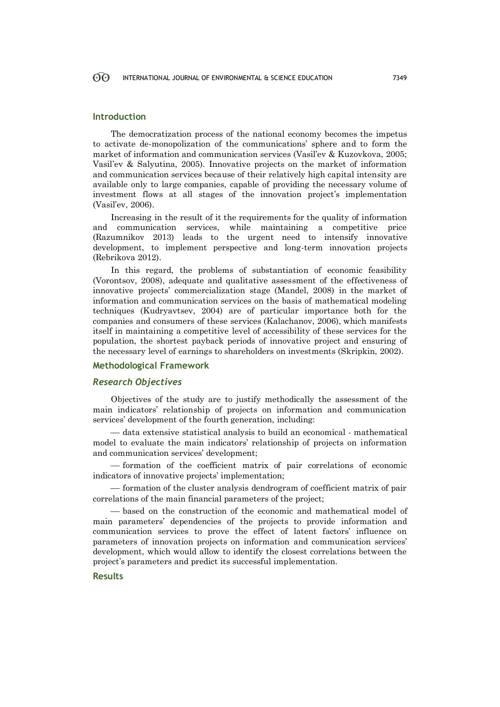#### 60 INTERNATIONAL JOURNAL OF ENVIRONMENTAL & SCIENCE EDUCATION 7349

### **Introduction**

The democratization process of the national economy becomes the impetus to activate de-monopolization of the communications' sphere and to form the market of information and communication services (Vasil'ev & Kuzovkova, 2005; Vasil'ev & Salyutina, 2005). Innovative projects on the market of information and communication services because of their relatively high capital intensity are available only to large companies, capable of providing the necessary volume of investment flows at all stages of the innovation project's implementation (Vasil'ev, 2006).

Increasing in the result of it the requirements for the quality of information and communication services, while maintaining a competitive price (Razumnikov 2013) leads to the urgent need to intensify innovative development, to implement perspective and long-term innovation projects (Rebrikova 2012).

In this regard, the problems of substantiation of economic feasibility (Vorontsov, 2008), adequate and qualitative assessment of the effectiveness of innovative projects' commercialization stage (Mandel, 2008) in the market of information and communication services on the basis of mathematical modeling techniques (Kudryavtsev, 2004) are of particular importance both for the companies and consumers of these services (Kalachanov, 2006), which manifests itself in maintaining a competitive level of accessibility of these services for the population, the shortest payback periods of innovative project and ensuring of the necessary level of earnings to shareholders on investments (Skripkin, 2002).

## **Methodological Framework**

## *Research Objectives*

Objectives of the study are to justify methodically the assessment of the main indicators' relationship of projects on information and communication services' development of the fourth generation, including:

 data extensive statistical analysis to build an economical - mathematical model to evaluate the main indicators' relationship of projects on information and communication services' development;

 formation of the coefficient matrix of pair correlations of economic indicators of innovative projects' implementation;

 $f$  formation of the cluster analysis dendrogram of coefficient matrix of pair correlations of the main financial parameters of the project;

 based on the construction of the economic and mathematical model of main parameters' dependencies of the projects to provide information and communication services to prove the effect of latent factors' influence on parameters of innovation projects on information and communication services' development, which would allow to identify the closest correlations between the project's parameters and predict its successful implementation.

#### **Results**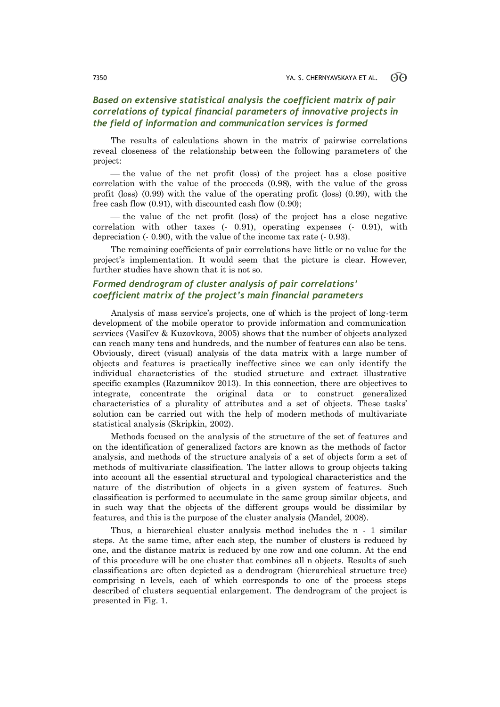## *Based on extensive statistical analysis the coefficient matrix of pair correlations of typical financial parameters of innovative projects in the field of information and communication services is formed*

The results of calculations shown in the matrix of pairwise correlations reveal closeness of the relationship between the following parameters of the project:

 $\theta$  the value of the net profit (loss) of the project has a close positive correlation with the value of the proceeds (0.98), with the value of the gross profit (loss) (0.99) with the value of the operating profit (loss) (0.99), with the free cash flow (0.91), with discounted cash flow (0.90);

 the value of the net profit (loss) of the project has a close negative correlation with other taxes (- 0.91), operating expenses (- 0.91), with depreciation (- 0.90), with the value of the income tax rate (- 0.93).

The remaining coefficients of pair correlations have little or no value for the project's implementation. It would seem that the picture is clear. However, further studies have shown that it is not so.

## *Formed dendrogram of cluster analysis of pair correlations' coefficient matrix of the project's main financial parameters*

Analysis of mass service's projects, one of which is the project of long-term development of the mobile operator to provide information and communication services (Vasil'ev & Kuzovkova, 2005) shows that the number of objects analyzed can reach many tens and hundreds, and the number of features can also be tens. Obviously, direct (visual) analysis of the data matrix with a large number of objects and features is practically ineffective since we can only identify the individual characteristics of the studied structure and extract illustrative specific examples (Razumnikov 2013). In this connection, there are objectives to integrate, concentrate the original data or to construct generalized characteristics of a plurality of attributes and a set of objects. These tasks' solution can be carried out with the help of modern methods of multivariate statistical analysis (Skripkin, 2002).

Methods focused on the analysis of the structure of the set of features and on the identification of generalized factors are known as the methods of factor analysis, and methods of the structure analysis of a set of objects form a set of methods of multivariate classification. The latter allows to group objects taking into account all the essential structural and typological characteristics and the nature of the distribution of objects in a given system of features. Such classification is performed to accumulate in the same group similar objects, and in such way that the objects of the different groups would be dissimilar by features, and this is the purpose of the cluster analysis (Mandel, 2008).

Thus, a hierarchical cluster analysis method includes the n - 1 similar steps. At the same time, after each step, the number of clusters is reduced by one, and the distance matrix is reduced by one row and one column. At the end of this procedure will be one cluster that combines all n objects. Results of such classifications are often depicted as a dendrogram (hierarchical structure tree) comprising n levels, each of which corresponds to one of the process steps described of clusters sequential enlargement. The dendrogram of the project is presented in Fig. 1.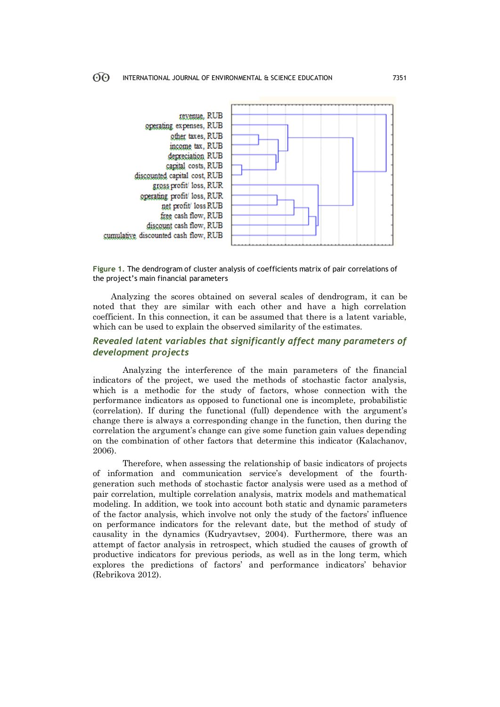



Analyzing the scores obtained on several scales of dendrogram, it can be noted that they are similar with each other and have a high correlation coefficient. In this connection, it can be assumed that there is a latent variable, which can be used to explain the observed similarity of the estimates.

## *Revealed latent variables that significantly affect many parameters of development projects*

Analyzing the interference of the main parameters of the financial indicators of the project, we used the methods of stochastic factor analysis, which is a methodic for the study of factors, whose connection with the performance indicators as opposed to functional one is incomplete, probabilistic (correlation). If during the functional (full) dependence with the argument's change there is always a corresponding change in the function, then during the correlation the argument's change can give some function gain values depending on the combination of other factors that determine this indicator (Kalachanov, 2006).

Therefore, when assessing the relationship of basic indicators of projects of information and communication service's development of the fourthgeneration such methods of stochastic factor analysis were used as a method of pair correlation, multiple correlation analysis, matrix models and mathematical modeling. In addition, we took into account both static and dynamic parameters of the factor analysis, which involve not only the study of the factors' influence on performance indicators for the relevant date, but the method of study of causality in the dynamics (Kudryavtsev, 2004). Furthermore, there was an attempt of factor analysis in retrospect, which studied the causes of growth of productive indicators for previous periods, as well as in the long term, which explores the predictions of factors' and performance indicators' behavior (Rebrikova 2012).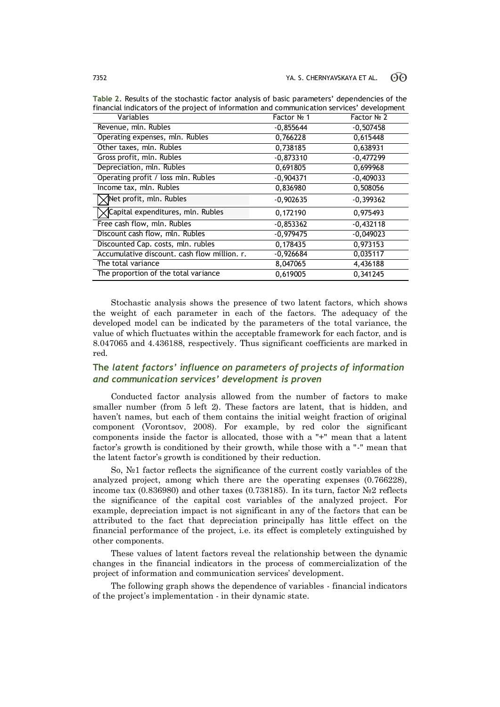| rinancial indicators of the project of information and communication services -development |             |             |  |
|--------------------------------------------------------------------------------------------|-------------|-------------|--|
| Variables                                                                                  | Factor № 1  | Factor Nº 2 |  |
| Revenue, mln. Rubles                                                                       | $-0,855644$ | $-0,507458$ |  |
| Operating expenses, mln. Rubles                                                            | 0,766228    | 0,615448    |  |
| Other taxes, mln. Rubles                                                                   | 0,738185    | 0,638931    |  |
| Gross profit, mln. Rubles                                                                  | $-0,873310$ | $-0,477299$ |  |
| Depreciation, mln. Rubles                                                                  | 0,691805    | 0,699968    |  |
| Operating profit / loss mln. Rubles                                                        | $-0,904371$ | $-0,409033$ |  |
| Income tax, mln. Rubles                                                                    | 0,836980    | 0,508056    |  |
| Net profit, mln. Rubles                                                                    | $-0,902635$ | $-0,399362$ |  |
| √Capital expenditures, mln. Rubles                                                         | 0,172190    | 0,975493    |  |
| Free cash flow, mln. Rubles                                                                | $-0,853362$ | $-0,432118$ |  |
| Discount cash flow, mln. Rubles                                                            | $-0,979475$ | $-0,049023$ |  |
| Discounted Cap. costs, mln. rubles                                                         | 0,178435    | 0,973153    |  |
| Accumulative discount. cash flow million. r.                                               | $-0,926684$ | 0,035117    |  |
| The total variance                                                                         | 8,047065    | 4,436188    |  |
| The proportion of the total variance                                                       | 0,619005    | 0,341245    |  |

**Table 2.** Results of the stochastic factor analysis of basic parameters' dependencies of the financial indicators of the project of information  $\frac{1}{\sqrt{2\pi}}$ 

Stochastic analysis shows the presence of two latent factors, which shows the weight of each parameter in each of the factors. The adequacy of the developed model can be indicated by the parameters of the total variance, the value of which fluctuates within the acceptable framework for each factor, and is 8.047065 and 4.436188, respectively. Thus significant coefficients are marked in red.

## **The** *latent factors' influence on parameters of projects of information and communication services' development is proven*

Conducted factor analysis allowed from the number of factors to make smaller number (from 5 left 2). These factors are latent, that is hidden, and haven't names, but each of them contains the initial weight fraction of original component (Vorontsov, 2008). For example, by red color the significant components inside the factor is allocated, those with a "+" mean that a latent factor's growth is conditioned by their growth, while those with a "-" mean that the latent factor's growth is conditioned by their reduction.

So, №1 factor reflects the significance of the current costly variables of the analyzed project, among which there are the operating expenses (0.766228), income tax (0.836980) and other taxes (0.738185). In its turn, factor №2 reflects the significance of the capital cost variables of the analyzed project. For example, depreciation impact is not significant in any of the factors that can be attributed to the fact that depreciation principally has little effect on the financial performance of the project, i.e. its effect is completely extinguished by other components.

These values of latent factors reveal the relationship between the dynamic changes in the financial indicators in the process of commercialization of the project of information and communication services' development.

The following graph shows the dependence of variables - financial indicators of the project's implementation - in their dynamic state.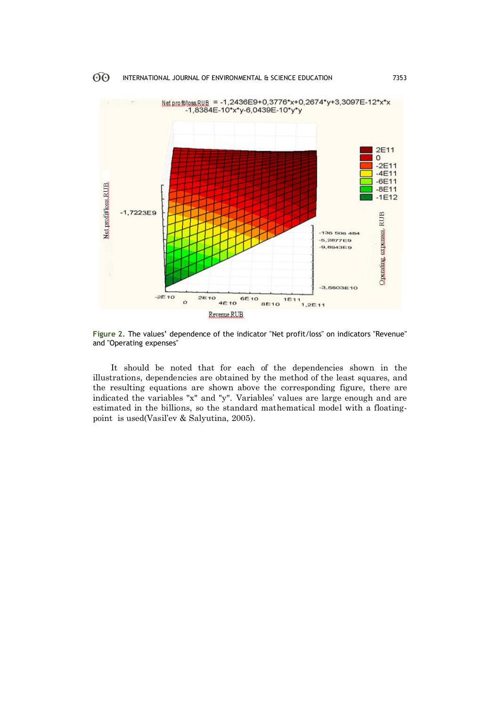

**Figure 2.** The values' dependence of the indicator "Net profit/loss" on indicators "Revenue" and "Operating expenses"

It should be noted that for each of the dependencies shown in the illustrations, dependencies are obtained by the method of the least squares, and the resulting equations are shown above the corresponding figure, there are indicated the variables "x" and "y". Variables' values are large enough and are estimated in the billions, so the standard mathematical model with a floatingpoint is used(Vasil'ev & Salyutina, 2005).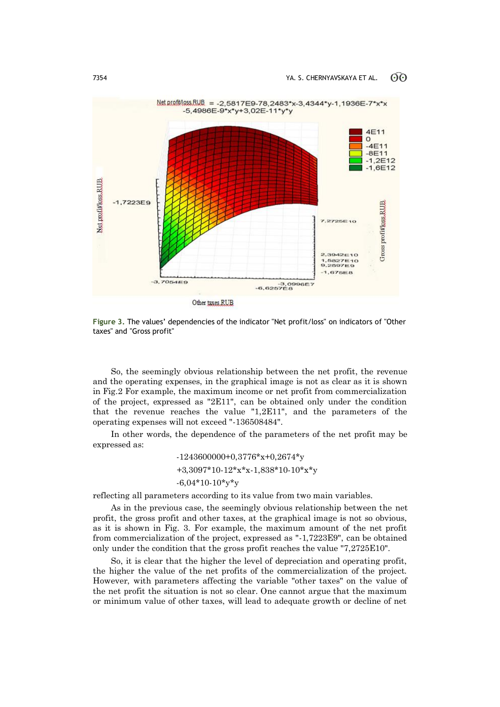

**Figure 3.** The values' dependencies of the indicator "Net profit/loss" on indicators of "Other taxes" and "Gross profit"

So, the seemingly obvious relationship between the net profit, the revenue and the operating expenses, in the graphical image is not as clear as it is shown in Fig.2 For example, the maximum income or net profit from commercialization of the project, expressed as "2Е11", can be obtained only under the condition that the revenue reaches the value "1,2Е11", and the parameters of the operating expenses will not exceed "-136508484".

In other words, the dependence of the parameters of the net profit may be expressed as:

> -1243600000+0,3776\*х+0,2674\*у +3,3097\*10-12\*х\*х-1,838\*10-10\*х\*у  $-6.04*10-10*$ v\*y

reflecting all parameters according to its value from two main variables.

As in the previous case, the seemingly obvious relationship between the net profit, the gross profit and other taxes, at the graphical image is not so obvious, as it is shown in Fig. 3. For example, the maximum amount of the net profit from commercialization of the project, expressed as "-1,7223Е9", can be obtained only under the condition that the gross profit reaches the value "7,2725Е10".

So, it is clear that the higher the level of depreciation and operating profit, the higher the value of the net profits of the commercialization of the project. However, with parameters affecting the variable "other taxes" on the value of the net profit the situation is not so clear. One cannot argue that the maximum or minimum value of other taxes, will lead to adequate growth or decline of net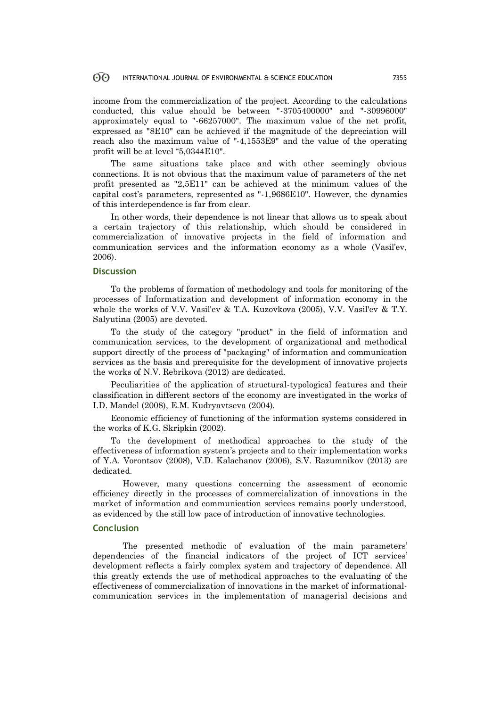#### 60 INTERNATIONAL JOURNAL OF ENVIRONMENTAL & SCIENCE EDUCATION 7355

income from the commercialization of the project. According to the calculations conducted, this value should be between "-3705400000" and "-30996000" approximately equal to "-66257000". The maximum value of the net profit, expressed as "8Е10" can be achieved if the magnitude of the depreciation will reach also the maximum value of "-4,1553Е9" and the value of the operating profit will be at level "5,0344Е10".

The same situations take place and with other seemingly obvious connections. It is not obvious that the maximum value of parameters of the net profit presented as "2,5Е11" can be achieved at the minimum values of the capital cost's parameters, represented as "-1,9686Е10". However, the dynamics of this interdependence is far from clear.

In other words, their dependence is not linear that allows us to speak about a certain trajectory of this relationship, which should be considered in commercialization of innovative projects in the field of information and communication services and the information economy as a whole (Vasil'ev, 2006).

## **Discussion**

To the problems of formation of methodology and tools for monitoring of the processes of Informatization and development of information economy in the whole the works of V.V. Vasil'ev & T.A. Kuzovkova (2005), V.V. Vasil'ev & T.Y. Salyutina (2005) are devoted.

To the study of the category "product" in the field of information and communication services, to the development of organizational and methodical support directly of the process of "packaging" of information and communication services as the basis and prerequisite for the development of innovative projects the works of N.V. Rebrikova (2012) are dedicated.

Peculiarities of the application of structural-typological features and their classification in different sectors of the economy are investigated in the works of I.D. Mandel (2008), E.M. Kudryavtseva (2004).

Economic efficiency of functioning of the information systems considered in the works of K.G. Skripkin (2002).

To the development of methodical approaches to the study of the effectiveness of information system's projects and to their implementation works of Y.A. Vorontsov (2008), V.D. Kalachanov (2006), S.V. Razumnikov (2013) are dedicated.

However, many questions concerning the assessment of economic efficiency directly in the processes of commercialization of innovations in the market of information and communication services remains poorly understood, as evidenced by the still low pace of introduction of innovative technologies.

#### **Conclusion**

The presented methodic of evaluation of the main parameters' dependencies of the financial indicators of the project of ICT services' development reflects a fairly complex system and trajectory of dependence. All this greatly extends the use of methodical approaches to the evaluating of the effectiveness of commercialization of innovations in the market of informationalcommunication services in the implementation of managerial decisions and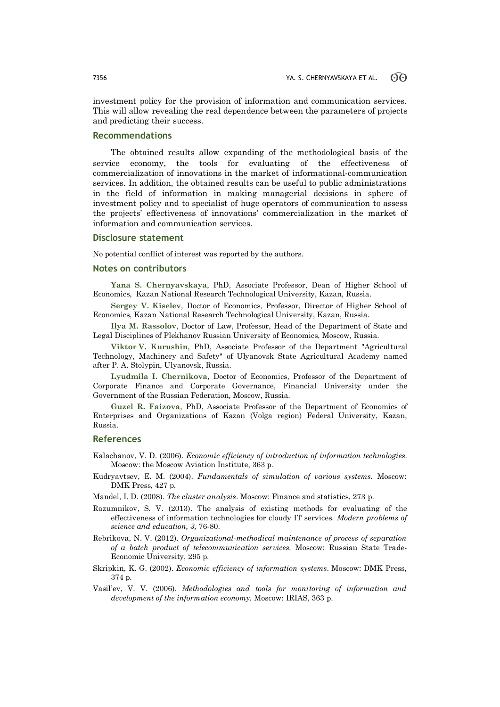investment policy for the provision of information and communication services. This will allow revealing the real dependence between the parameters of projects and predicting their success.

#### **Recommendations**

The obtained results allow expanding of the methodological basis of the service economy, the tools for evaluating of the effectiveness of commercialization of innovations in the market of informational-communication services. In addition, the obtained results can be useful to public administrations in the field of information in making managerial decisions in sphere of investment policy and to specialist of huge operators of communication to assess the projects' effectiveness of innovations' commercialization in the market of information and communication services.

#### **Disclosure statement**

No potential conflict of interest was reported by the authors.

#### **Notes on contributors**

**Yana S. Chernyavskaya**, PhD, Associate Professor, Dean of Higher School of Economics, Kazan National Research Technological University, Kazan, Russia.

**Sergey V. Kiselev**, Doctor of Economics, Professor, Director of Higher School of Economics, Kazan National Research Technological University, Kazan, Russia.

**Ilya M. Rassolov**, Doctor of Law, Professor, Head of the Department of State and Legal Disciplines of Plekhanov Russian University of Economics, Moscow*,* Russia.

**Viktor V. Kurushin**, PhD, Associate Professor of the Department "Agricultural Technology, Machinery and Safety" of Ulyanovsk State Agricultural Academy named after P. A. Stolypin, Ulyanovsk, Russia.

**Lyudmila I. Chernikova**, Doctor of Economics, Professor of the Department of Corporate Finance and Corporate Governance, Financial University under the Government of the Russian Federation*,* Moscow, Russia.

**Guzel R. Faizova**, PhD, Associate Professor of the Department of Economics of Enterprises and Organizations of Kazan (Volga region) Federal University, Kazan, Russia.

#### **References**

Kalachanov, V. D. (2006). *Economic efficiency of introduction of information technologies.* Moscow: the Moscow Aviation Institute, 363 p.

Kudryavtsev, E. M. (2004). *Fundamentals of simulation of various systems.* Moscow: DMK Press, 427 p.

Mandel, I. D. (2008). *The cluster analysis*. Moscow: Finance and statistics, 273 p.

- Razumnikov, S. V. (2013). The analysis of existing methods for evaluating of the effectiveness of information technologies for cloudy IT services. *Modern problems of science and education, 3,* 76-80.
- Rebrikova, N. V. (2012). *Organizational-methodical maintenance of process of separation of a batch product of telecommunication services.* Moscow: Russian State Trade-Economic University, 295 p.
- Skripkin, K. G. (2002). *Economic efficiency of information systems*. Moscow: DMK Press, 374 p.
- Vasil'ev, V. V. (2006). *Methodologies and tools for monitoring of information and development of the information economy.* Moscow: IRIAS, 363 p.